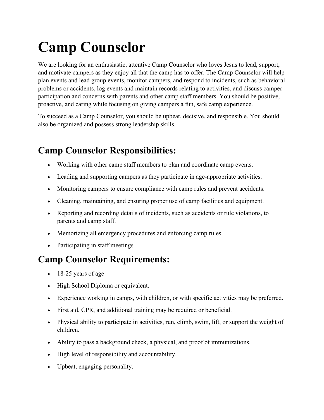## **Camp Counselor**

We are looking for an enthusiastic, attentive Camp Counselor who loves Jesus to lead, support, and motivate campers as they enjoy all that the camp has to offer. The Camp Counselor will help plan events and lead group events, monitor campers, and respond to incidents, such as behavioral problems or accidents, log events and maintain records relating to activities, and discuss camper participation and concerns with parents and other camp staff members. You should be positive, proactive, and caring while focusing on giving campers a fun, safe camp experience.

To succeed as a Camp Counselor, you should be upbeat, decisive, and responsible. You should also be organized and possess strong leadership skills.

## **Camp Counselor Responsibilities:**

- Working with other camp staff members to plan and coordinate camp events.
- Leading and supporting campers as they participate in age-appropriate activities.
- Monitoring campers to ensure compliance with camp rules and prevent accidents.
- Cleaning, maintaining, and ensuring proper use of camp facilities and equipment.
- Reporting and recording details of incidents, such as accidents or rule violations, to parents and camp staff.
- Memorizing all emergency procedures and enforcing camp rules.
- Participating in staff meetings.

## **Camp Counselor Requirements:**

- 18-25 years of age
- High School Diploma or equivalent.
- Experience working in camps, with children, or with specific activities may be preferred.
- First aid, CPR, and additional training may be required or beneficial.
- Physical ability to participate in activities, run, climb, swim, lift, or support the weight of children.
- Ability to pass a background check, a physical, and proof of immunizations.
- High level of responsibility and accountability.
- Upbeat, engaging personality.